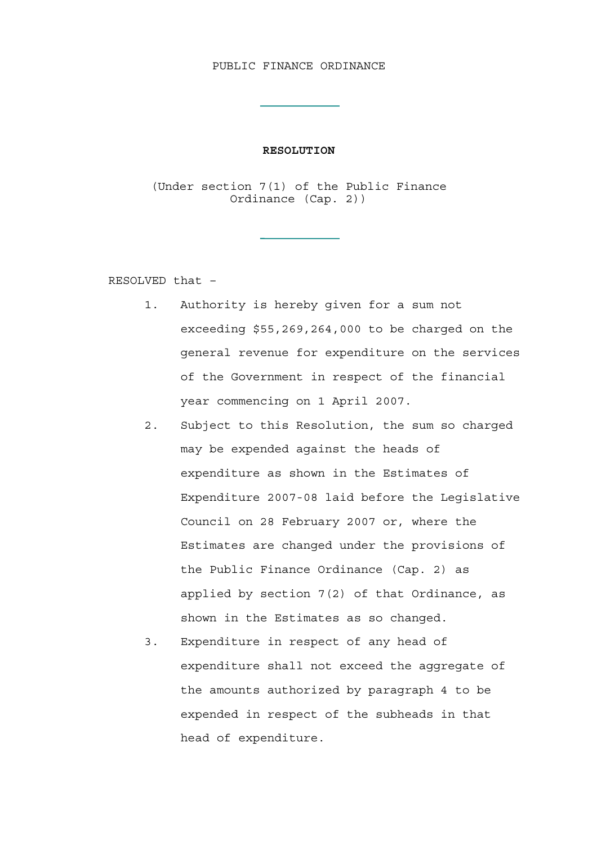## PUBLIC FINANCE ORDINANCE

## **RESOLUTION**

(Under section 7(1) of the Public Finance Ordinance (Cap. 2))

RESOLVED that –

- 1. Authority is hereby given for a sum not exceeding \$55,269,264,000 to be charged on the general revenue for expenditure on the services of the Government in respect of the financial year commencing on 1 April 2007.
- 2. Subject to this Resolution, the sum so charged may be expended against the heads of expenditure as shown in the Estimates of Expenditure 2007-08 laid before the Legislative Council on 28 February 2007 or, where the Estimates are changed under the provisions of the Public Finance Ordinance (Cap. 2) as applied by section 7(2) of that Ordinance, as shown in the Estimates as so changed.
- 3. Expenditure in respect of any head of expenditure shall not exceed the aggregate of the amounts authorized by paragraph 4 to be expended in respect of the subheads in that head of expenditure.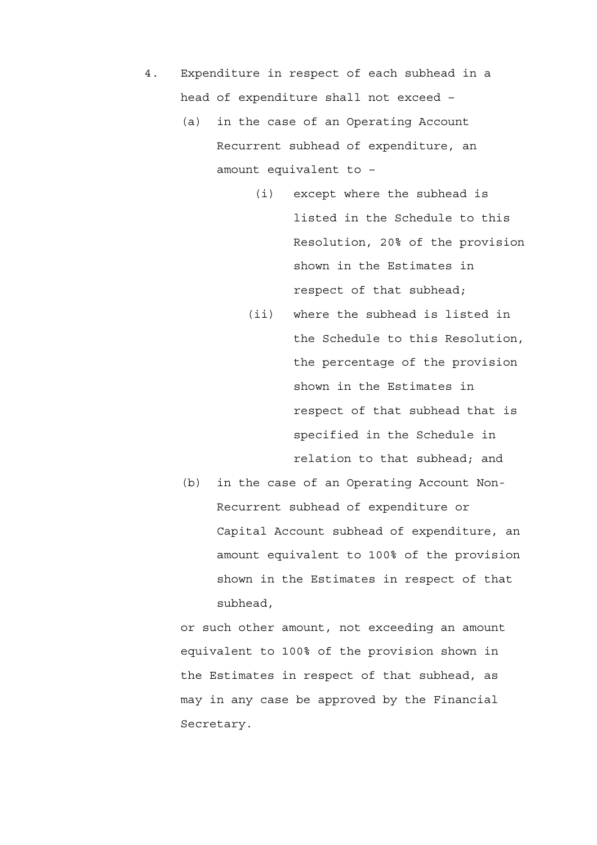- 4. Expenditure in respect of each subhead in a head of expenditure shall not exceed –
	- (a) in the case of an Operating Account Recurrent subhead of expenditure, an amount equivalent to –
		- (i) except where the subhead is listed in the Schedule to this Resolution, 20% of the provision shown in the Estimates in respect of that subhead;
		- (ii) where the subhead is listed in the Schedule to this Resolution, the percentage of the provision shown in the Estimates in respect of that subhead that is specified in the Schedule in relation to that subhead; and
	- (b) in the case of an Operating Account Non-Recurrent subhead of expenditure or Capital Account subhead of expenditure, an amount equivalent to 100% of the provision shown in the Estimates in respect of that subhead,

or such other amount, not exceeding an amount equivalent to 100% of the provision shown in the Estimates in respect of that subhead, as may in any case be approved by the Financial Secretary.